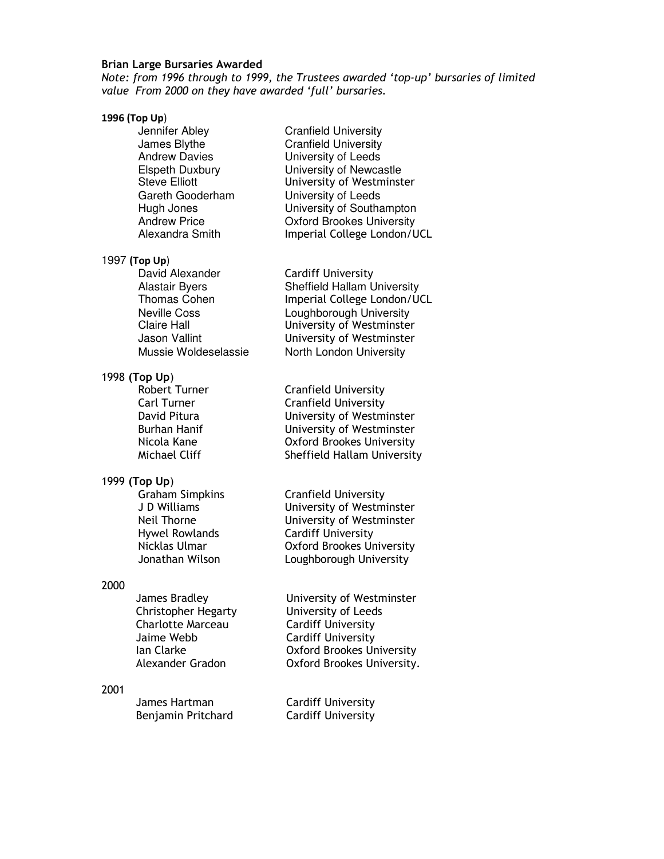## **Brian Large Bursaries Awarded**

*Note: from 1996 through to 1999, the Trustees awarded 'top-up' bursaries of limited value From 2000 on they have awarded 'full' bursaries.* 

#### **1996 (Top Up**)

**Jennifer Abley Cranfield University<br>James Blythe Cranfield University** 

**Cranfield University** Andrew Davies University of Leeds Elspeth Duxbury University of Newcastle Steve Elliott **University of Westminster** Gareth Gooderham University of Leeds<br>
Hugh Jones Christian University of Southa Hugh Jones **University of Southampton**<br>Andrew Price **D**xford Brookes University Andrew Price **Canadia Community**<br>Alexandra Smith **College London**/U Imperial College London/UCL

### 1997 **(Top Up**)

David Alexander Cardiff University

# 1998 **(Top Up**)

## 1999 **(Top Up**)

Graham Simpkins Cranfield University<br>
J D Williams Computersity of Westm Hywel Rowlands Cardiff University

## 2000

Christopher Hegarty University of Leeds Charlotte Marceau Cardiff University Jaime Webb Cardiff University

### 2001

Benjamin Pritchard Cardiff University

Alastair Byers Sheffield Hallam University<br>Thomas Cohen Sheffield College London/U Imperial College London/UCL Neville Coss Loughborough University Claire Hall University of Westminster Jason Vallint University of Westminster Mussie Woldeselassie North London University

Robert Turner **Canfield University**<br>Carl Turner Cranfield University Cranfield University David Pitura University of Westminster Burhan Hanif **Burhan Hanif** University of Westminster<br>Nicola Kane **D**xford Brookes University Oxford Brookes University Michael Cliff Sheffield Hallam University

J D Williams University of Westminster University of Westminster Nicklas Ulmar Oxford Brookes University Jonathan Wilson Loughborough University

James Bradley University of Westminster Ian Clarke Oxford Brookes University Alexander Gradon Oxford Brookes University.

James Hartman Cardiff University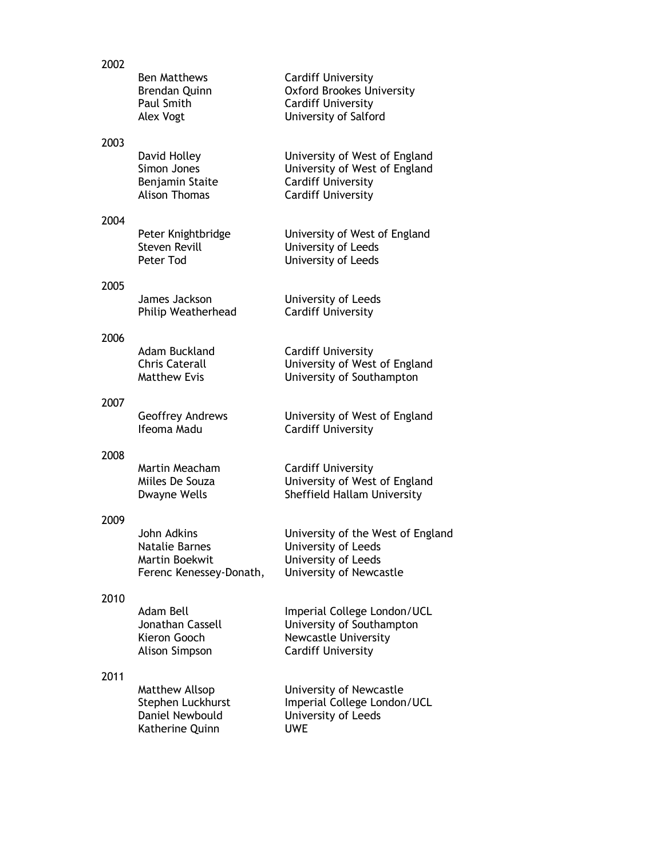| 2002 |                                                                            |                                                                                                                          |
|------|----------------------------------------------------------------------------|--------------------------------------------------------------------------------------------------------------------------|
|      | <b>Ben Matthews</b><br><b>Brendan Quinn</b><br>Paul Smith<br>Alex Vogt     | <b>Cardiff University</b><br><b>Oxford Brookes University</b><br><b>Cardiff University</b><br>University of Salford      |
| 2003 |                                                                            |                                                                                                                          |
|      | David Holley<br>Simon Jones<br>Benjamin Staite<br><b>Alison Thomas</b>     | University of West of England<br>University of West of England<br><b>Cardiff University</b><br><b>Cardiff University</b> |
| 2004 |                                                                            |                                                                                                                          |
|      | Peter Knightbridge<br><b>Steven Revill</b><br>Peter Tod                    | University of West of England<br>University of Leeds<br>University of Leeds                                              |
| 2005 |                                                                            |                                                                                                                          |
|      | James Jackson<br>Philip Weatherhead                                        | University of Leeds<br><b>Cardiff University</b>                                                                         |
| 2006 |                                                                            |                                                                                                                          |
|      | Adam Buckland<br><b>Chris Caterall</b><br><b>Matthew Evis</b>              | <b>Cardiff University</b><br>University of West of England<br>University of Southampton                                  |
|      |                                                                            |                                                                                                                          |
| 2007 | Geoffrey Andrews<br>Ifeoma Madu                                            | University of West of England<br><b>Cardiff University</b>                                                               |
| 2008 |                                                                            |                                                                                                                          |
|      | Martin Meacham<br>Miiles De Souza<br>Dwayne Wells                          | <b>Cardiff University</b><br>University of West of England<br>Sheffield Hallam University                                |
| 2009 |                                                                            |                                                                                                                          |
|      | John Adkins<br>Natalie Barnes<br>Martin Boekwit<br>Ferenc Kenessey-Donath, | University of the West of England<br>University of Leeds<br>University of Leeds<br>University of Newcastle               |
| 2010 |                                                                            |                                                                                                                          |
|      | Adam Bell<br>Jonathan Cassell<br>Kieron Gooch<br>Alison Simpson            | Imperial College London/UCL<br>University of Southampton<br><b>Newcastle University</b><br><b>Cardiff University</b>     |
| 2011 |                                                                            |                                                                                                                          |
|      | Matthew Allsop<br>Stephen Luckhurst<br>Daniel Newbould<br>Katherine Quinn  | University of Newcastle<br>Imperial College London/UCL<br>University of Leeds<br><b>UWE</b>                              |